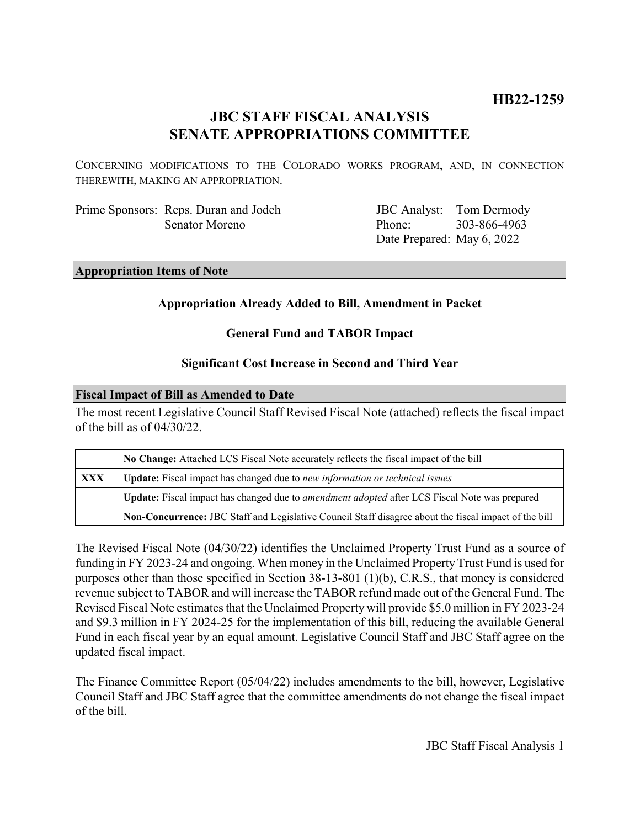# **HB22-1259**

# **JBC STAFF FISCAL ANALYSIS SENATE APPROPRIATIONS COMMITTEE**

CONCERNING MODIFICATIONS TO THE COLORADO WORKS PROGRAM, AND, IN CONNECTION THEREWITH, MAKING AN APPROPRIATION.

Prime Sponsors: Reps. Duran and Jodeh Senator Moreno

JBC Analyst: Tom Dermody Phone: Date Prepared: May 6, 2022 303-866-4963

### **Appropriation Items of Note**

## **Appropriation Already Added to Bill, Amendment in Packet**

## **General Fund and TABOR Impact**

## **Significant Cost Increase in Second and Third Year**

### **Fiscal Impact of Bill as Amended to Date**

The most recent Legislative Council Staff Revised Fiscal Note (attached) reflects the fiscal impact of the bill as of 04/30/22.

|     | No Change: Attached LCS Fiscal Note accurately reflects the fiscal impact of the bill                       |
|-----|-------------------------------------------------------------------------------------------------------------|
| XXX | Update: Fiscal impact has changed due to new information or technical issues                                |
|     | <b>Update:</b> Fiscal impact has changed due to <i>amendment adopted</i> after LCS Fiscal Note was prepared |
|     | Non-Concurrence: JBC Staff and Legislative Council Staff disagree about the fiscal impact of the bill       |

The Revised Fiscal Note (04/30/22) identifies the Unclaimed Property Trust Fund as a source of funding in FY 2023-24 and ongoing. When money in the Unclaimed Property Trust Fund is used for purposes other than those specified in Section 38-13-801 (1)(b), C.R.S., that money is considered revenue subject to TABOR and will increase the TABOR refund made out of the General Fund. The Revised Fiscal Note estimates that the Unclaimed Property will provide \$5.0 million in FY 2023-24 and \$9.3 million in FY 2024-25 for the implementation of this bill, reducing the available General Fund in each fiscal year by an equal amount. Legislative Council Staff and JBC Staff agree on the updated fiscal impact.

The Finance Committee Report (05/04/22) includes amendments to the bill, however, Legislative Council Staff and JBC Staff agree that the committee amendments do not change the fiscal impact of the bill.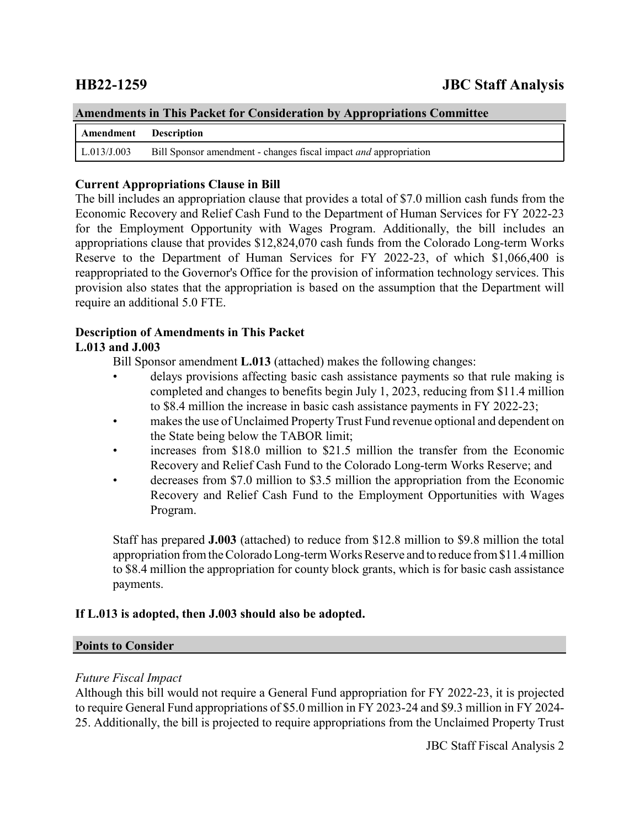| <b>Amendments in This Packet for Consideration by Appropriations Committee</b> |                                                                         |  |  |
|--------------------------------------------------------------------------------|-------------------------------------------------------------------------|--|--|
| Amendment Description                                                          |                                                                         |  |  |
| L.013/J.003                                                                    | Bill Sponsor amendment - changes fiscal impact <i>and</i> appropriation |  |  |

## **Current Appropriations Clause in Bill**

The bill includes an appropriation clause that provides a total of \$7.0 million cash funds from the Economic Recovery and Relief Cash Fund to the Department of Human Services for FY 2022-23 for the Employment Opportunity with Wages Program. Additionally, the bill includes an appropriations clause that provides \$12,824,070 cash funds from the Colorado Long-term Works Reserve to the Department of Human Services for FY 2022-23, of which \$1,066,400 is reappropriated to the Governor's Office for the provision of information technology services. This provision also states that the appropriation is based on the assumption that the Department will require an additional 5.0 FTE.

## **Description of Amendments in This Packet**

## **L.013 and J.003**

Bill Sponsor amendment **L.013** (attached) makes the following changes:

- delays provisions affecting basic cash assistance payments so that rule making is completed and changes to benefits begin July 1, 2023, reducing from \$11.4 million to \$8.4 million the increase in basic cash assistance payments in FY 2022-23;
- makes the use of Unclaimed Property Trust Fund revenue optional and dependent on the State being below the TABOR limit;
- increases from \$18.0 million to \$21.5 million the transfer from the Economic Recovery and Relief Cash Fund to the Colorado Long-term Works Reserve; and
- decreases from \$7.0 million to \$3.5 million the appropriation from the Economic Recovery and Relief Cash Fund to the Employment Opportunities with Wages Program.

Staff has prepared **J.003** (attached) to reduce from \$12.8 million to \$9.8 million the total appropriation from the Colorado Long-term Works Reserve and to reduce from \$11.4 million to \$8.4 million the appropriation for county block grants, which is for basic cash assistance payments.

## **If L.013 is adopted, then J.003 should also be adopted.**

## **Points to Consider**

## *Future Fiscal Impact*

Although this bill would not require a General Fund appropriation for FY 2022-23, it is projected to require General Fund appropriations of \$5.0 million in FY 2023-24 and \$9.3 million in FY 2024- 25. Additionally, the bill is projected to require appropriations from the Unclaimed Property Trust